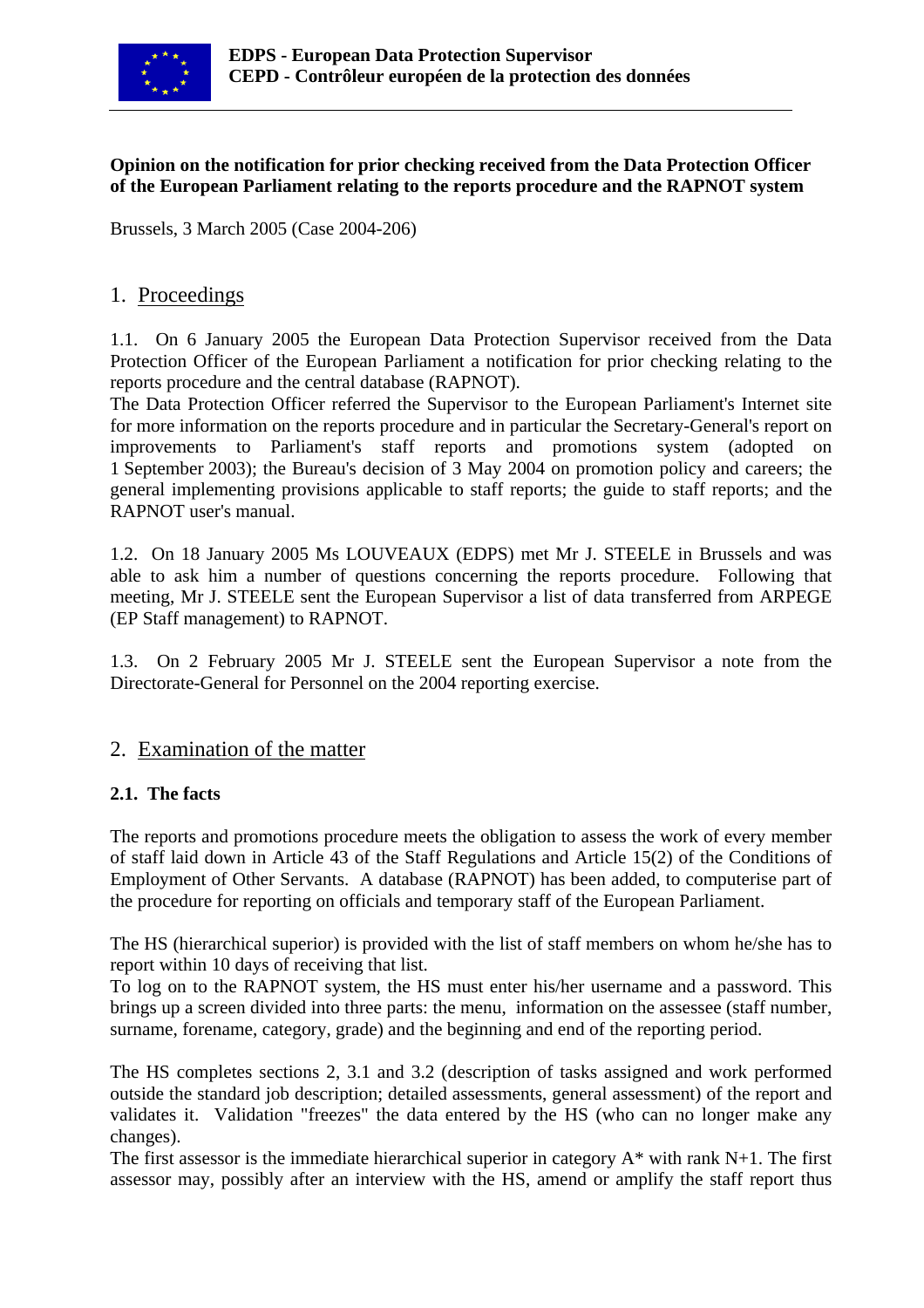

### **Opinion on the notification for prior checking received from the Data Protection Officer of the European Parliament relating to the reports procedure and the RAPNOT system**

Brussels, 3 March 2005 (Case 2004-206)

## 1. Proceedings

1.1. On 6 January 2005 the European Data Protection Supervisor received from the Data Protection Officer of the European Parliament a notification for prior checking relating to the reports procedure and the central database (RAPNOT).

The Data Protection Officer referred the Supervisor to the European Parliament's Internet site for more information on the reports procedure and in particular the Secretary-General's report on improvements to Parliament's staff reports and promotions system (adopted on 1 September 2003); the Bureau's decision of 3 May 2004 on promotion policy and careers; the general implementing provisions applicable to staff reports; the guide to staff reports; and the RAPNOT user's manual.

1.2. On 18 January 2005 Ms LOUVEAUX (EDPS) met Mr J. STEELE in Brussels and was able to ask him a number of questions concerning the reports procedure. Following that meeting, Mr J. STEELE sent the European Supervisor a list of data transferred from ARPEGE (EP Staff management) to RAPNOT.

1.3. On 2 February 2005 Mr J. STEELE sent the European Supervisor a note from the Directorate-General for Personnel on the 2004 reporting exercise.

# 2. Examination of the matter

### **2.1. The facts**

The reports and promotions procedure meets the obligation to assess the work of every member of staff laid down in Article 43 of the Staff Regulations and Article 15(2) of the Conditions of Employment of Other Servants. A database (RAPNOT) has been added, to computerise part of the procedure for reporting on officials and temporary staff of the European Parliament.

The HS (hierarchical superior) is provided with the list of staff members on whom he/she has to report within 10 days of receiving that list.

To log on to the RAPNOT system, the HS must enter his/her username and a password. This brings up a screen divided into three parts: the menu, information on the assessee (staff number, surname, forename, category, grade) and the beginning and end of the reporting period.

The HS completes sections 2, 3.1 and 3.2 (description of tasks assigned and work performed outside the standard job description; detailed assessments, general assessment) of the report and validates it. Validation "freezes" the data entered by the HS (who can no longer make any changes).

The first assessor is the immediate hierarchical superior in category  $A^*$  with rank N+1. The first assessor may, possibly after an interview with the HS, amend or amplify the staff report thus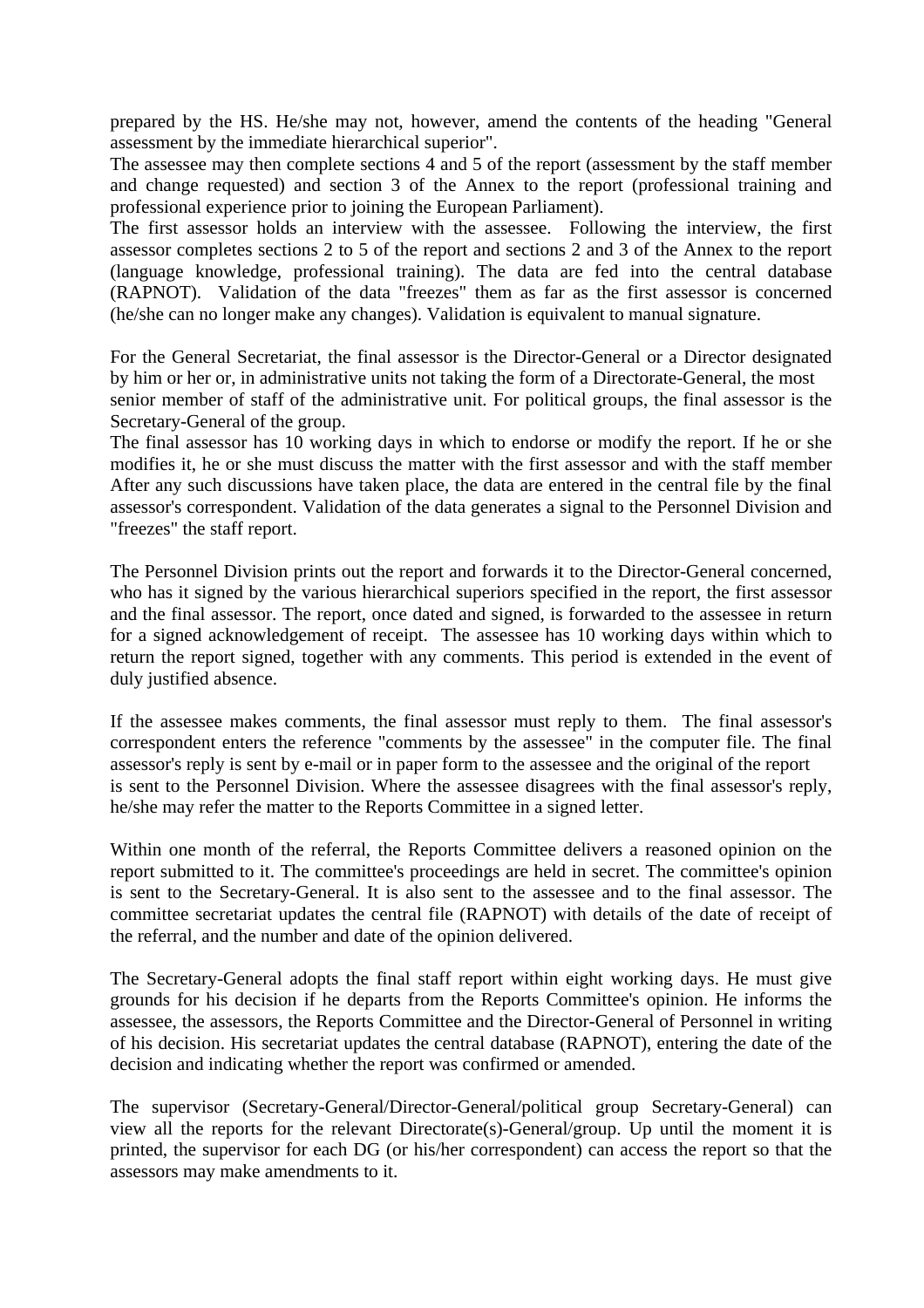prepared by the HS. He/she may not, however, amend the contents of the heading "General assessment by the immediate hierarchical superior".

The assessee may then complete sections 4 and 5 of the report (assessment by the staff member and change requested) and section 3 of the Annex to the report (professional training and professional experience prior to joining the European Parliament).

The first assessor holds an interview with the assessee. Following the interview, the first assessor completes sections 2 to 5 of the report and sections 2 and 3 of the Annex to the report (language knowledge, professional training). The data are fed into the central database (RAPNOT). Validation of the data "freezes" them as far as the first assessor is concerned (he/she can no longer make any changes). Validation is equivalent to manual signature.

For the General Secretariat, the final assessor is the Director-General or a Director designated by him or her or, in administrative units not taking the form of a Directorate-General, the most senior member of staff of the administrative unit. For political groups, the final assessor is the Secretary-General of the group.

The final assessor has 10 working days in which to endorse or modify the report. If he or she modifies it, he or she must discuss the matter with the first assessor and with the staff member After any such discussions have taken place, the data are entered in the central file by the final assessor's correspondent. Validation of the data generates a signal to the Personnel Division and "freezes" the staff report.

The Personnel Division prints out the report and forwards it to the Director-General concerned, who has it signed by the various hierarchical superiors specified in the report, the first assessor and the final assessor. The report, once dated and signed, is forwarded to the assessee in return for a signed acknowledgement of receipt. The assessee has 10 working days within which to return the report signed, together with any comments. This period is extended in the event of duly justified absence.

If the assessee makes comments, the final assessor must reply to them. The final assessor's correspondent enters the reference "comments by the assessee" in the computer file. The final assessor's reply is sent by e-mail or in paper form to the assessee and the original of the report is sent to the Personnel Division. Where the assessee disagrees with the final assessor's reply, he/she may refer the matter to the Reports Committee in a signed letter.

Within one month of the referral, the Reports Committee delivers a reasoned opinion on the report submitted to it. The committee's proceedings are held in secret. The committee's opinion is sent to the Secretary-General. It is also sent to the assessee and to the final assessor. The committee secretariat updates the central file (RAPNOT) with details of the date of receipt of the referral, and the number and date of the opinion delivered.

The Secretary-General adopts the final staff report within eight working days. He must give grounds for his decision if he departs from the Reports Committee's opinion. He informs the assessee, the assessors, the Reports Committee and the Director-General of Personnel in writing of his decision. His secretariat updates the central database (RAPNOT), entering the date of the decision and indicating whether the report was confirmed or amended.

The supervisor (Secretary-General/Director-General/political group Secretary-General) can view all the reports for the relevant Directorate(s)-General/group. Up until the moment it is printed, the supervisor for each DG (or his/her correspondent) can access the report so that the assessors may make amendments to it.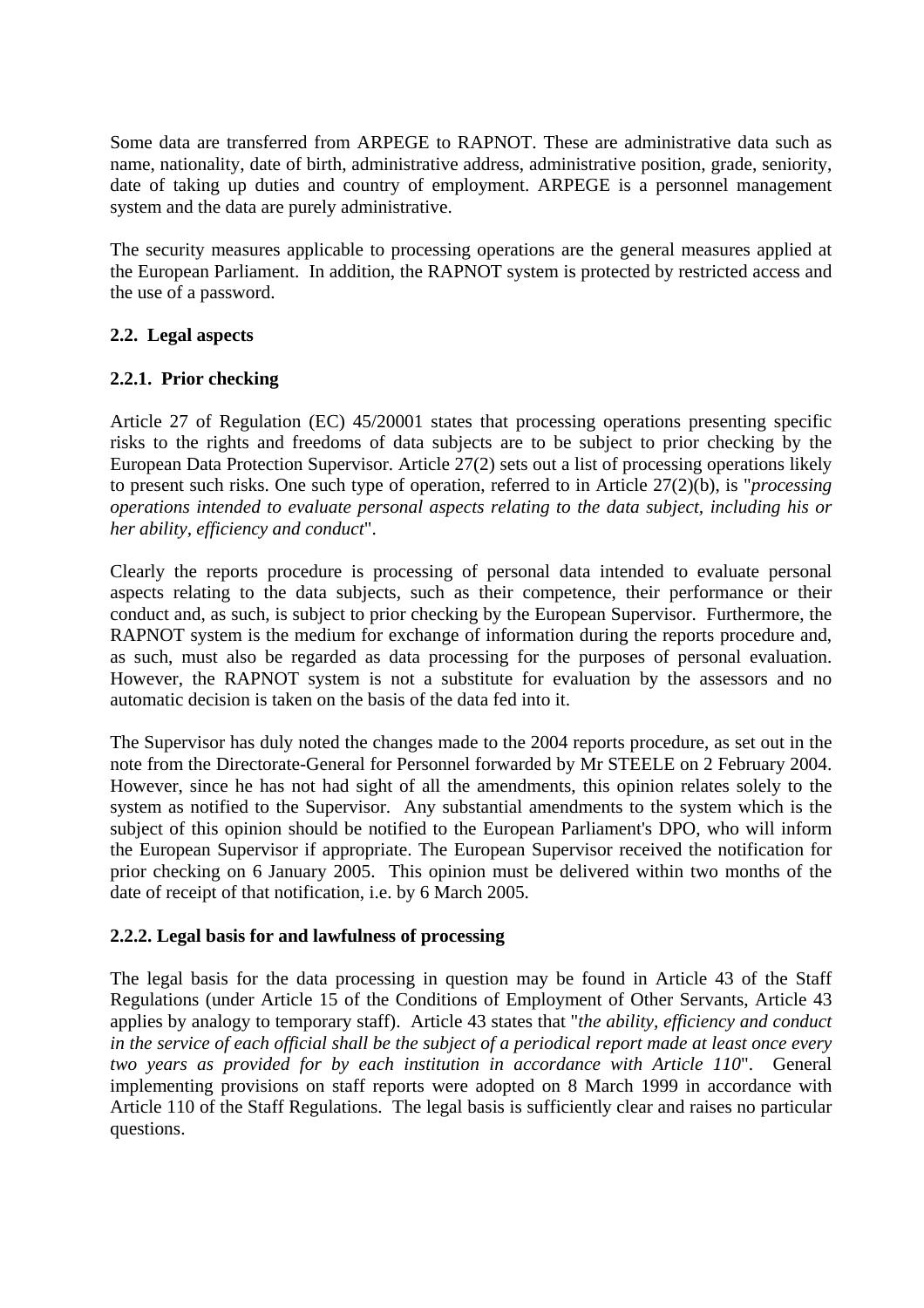Some data are transferred from ARPEGE to RAPNOT. These are administrative data such as name, nationality, date of birth, administrative address, administrative position, grade, seniority, date of taking up duties and country of employment. ARPEGE is a personnel management system and the data are purely administrative.

The security measures applicable to processing operations are the general measures applied at the European Parliament. In addition, the RAPNOT system is protected by restricted access and the use of a password.

### **2.2. Legal aspects**

### **2.2.1. Prior checking**

Article 27 of Regulation (EC) 45/20001 states that processing operations presenting specific risks to the rights and freedoms of data subjects are to be subject to prior checking by the European Data Protection Supervisor. Article 27(2) sets out a list of processing operations likely to present such risks. One such type of operation, referred to in Article 27(2)(b), is "*processing operations intended to evaluate personal aspects relating to the data subject, including his or her ability, efficiency and conduct*".

Clearly the reports procedure is processing of personal data intended to evaluate personal aspects relating to the data subjects, such as their competence, their performance or their conduct and, as such, is subject to prior checking by the European Supervisor. Furthermore, the RAPNOT system is the medium for exchange of information during the reports procedure and, as such, must also be regarded as data processing for the purposes of personal evaluation. However, the RAPNOT system is not a substitute for evaluation by the assessors and no automatic decision is taken on the basis of the data fed into it.

The Supervisor has duly noted the changes made to the 2004 reports procedure, as set out in the note from the Directorate-General for Personnel forwarded by Mr STEELE on 2 February 2004. However, since he has not had sight of all the amendments, this opinion relates solely to the system as notified to the Supervisor. Any substantial amendments to the system which is the subject of this opinion should be notified to the European Parliament's DPO, who will inform the European Supervisor if appropriate. The European Supervisor received the notification for prior checking on 6 January 2005. This opinion must be delivered within two months of the date of receipt of that notification, i.e. by 6 March 2005.

### **2.2.2. Legal basis for and lawfulness of processing**

The legal basis for the data processing in question may be found in Article 43 of the Staff Regulations (under Article 15 of the Conditions of Employment of Other Servants, Article 43 applies by analogy to temporary staff). Article 43 states that "*the ability, efficiency and conduct in the service of each official shall be the subject of a periodical report made at least once every two years as provided for by each institution in accordance with Article 110*". General implementing provisions on staff reports were adopted on 8 March 1999 in accordance with Article 110 of the Staff Regulations. The legal basis is sufficiently clear and raises no particular questions.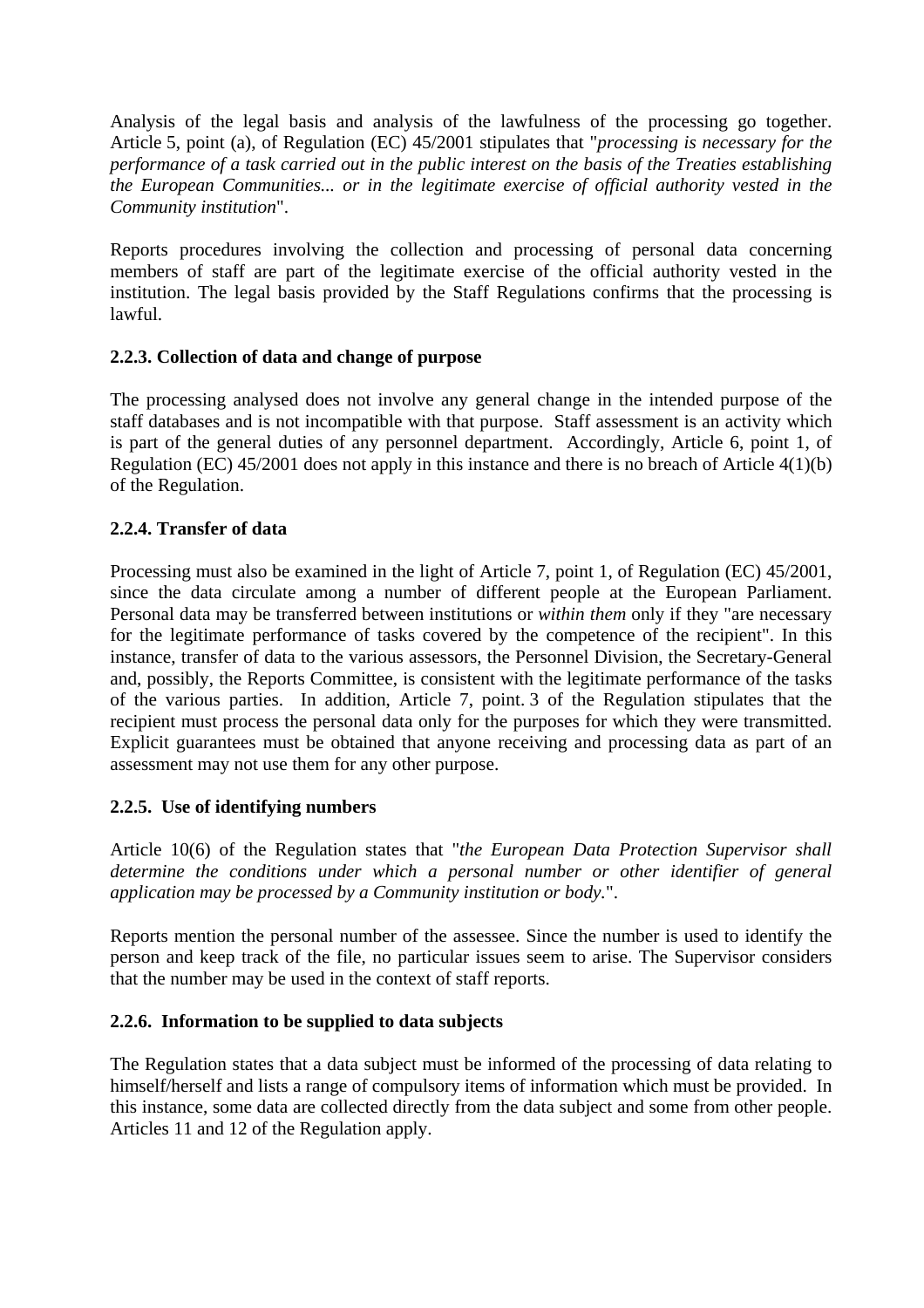Analysis of the legal basis and analysis of the lawfulness of the processing go together. Article 5, point (a), of Regulation (EC) 45/2001 stipulates that "*processing is necessary for the performance of a task carried out in the public interest on the basis of the Treaties establishing the European Communities... or in the legitimate exercise of official authority vested in the Community institution*".

Reports procedures involving the collection and processing of personal data concerning members of staff are part of the legitimate exercise of the official authority vested in the institution. The legal basis provided by the Staff Regulations confirms that the processing is lawful.

### **2.2.3. Collection of data and change of purpose**

The processing analysed does not involve any general change in the intended purpose of the staff databases and is not incompatible with that purpose. Staff assessment is an activity which is part of the general duties of any personnel department. Accordingly, Article 6, point 1, of Regulation (EC) 45/2001 does not apply in this instance and there is no breach of Article 4(1)(b) of the Regulation.

### **2.2.4. Transfer of data**

Processing must also be examined in the light of Article 7, point 1, of Regulation (EC) 45/2001, since the data circulate among a number of different people at the European Parliament. Personal data may be transferred between institutions or *within them* only if they "are necessary for the legitimate performance of tasks covered by the competence of the recipient". In this instance, transfer of data to the various assessors, the Personnel Division, the Secretary-General and, possibly, the Reports Committee, is consistent with the legitimate performance of the tasks of the various parties. In addition, Article 7, point. 3 of the Regulation stipulates that the recipient must process the personal data only for the purposes for which they were transmitted. Explicit guarantees must be obtained that anyone receiving and processing data as part of an assessment may not use them for any other purpose.

### **2.2.5. Use of identifying numbers**

Article 10(6) of the Regulation states that "*the European Data Protection Supervisor shall determine the conditions under which a personal number or other identifier of general application may be processed by a Community institution or body.*".

Reports mention the personal number of the assessee. Since the number is used to identify the person and keep track of the file, no particular issues seem to arise. The Supervisor considers that the number may be used in the context of staff reports.

### **2.2.6. Information to be supplied to data subjects**

The Regulation states that a data subject must be informed of the processing of data relating to himself/herself and lists a range of compulsory items of information which must be provided. In this instance, some data are collected directly from the data subject and some from other people. Articles 11 and 12 of the Regulation apply.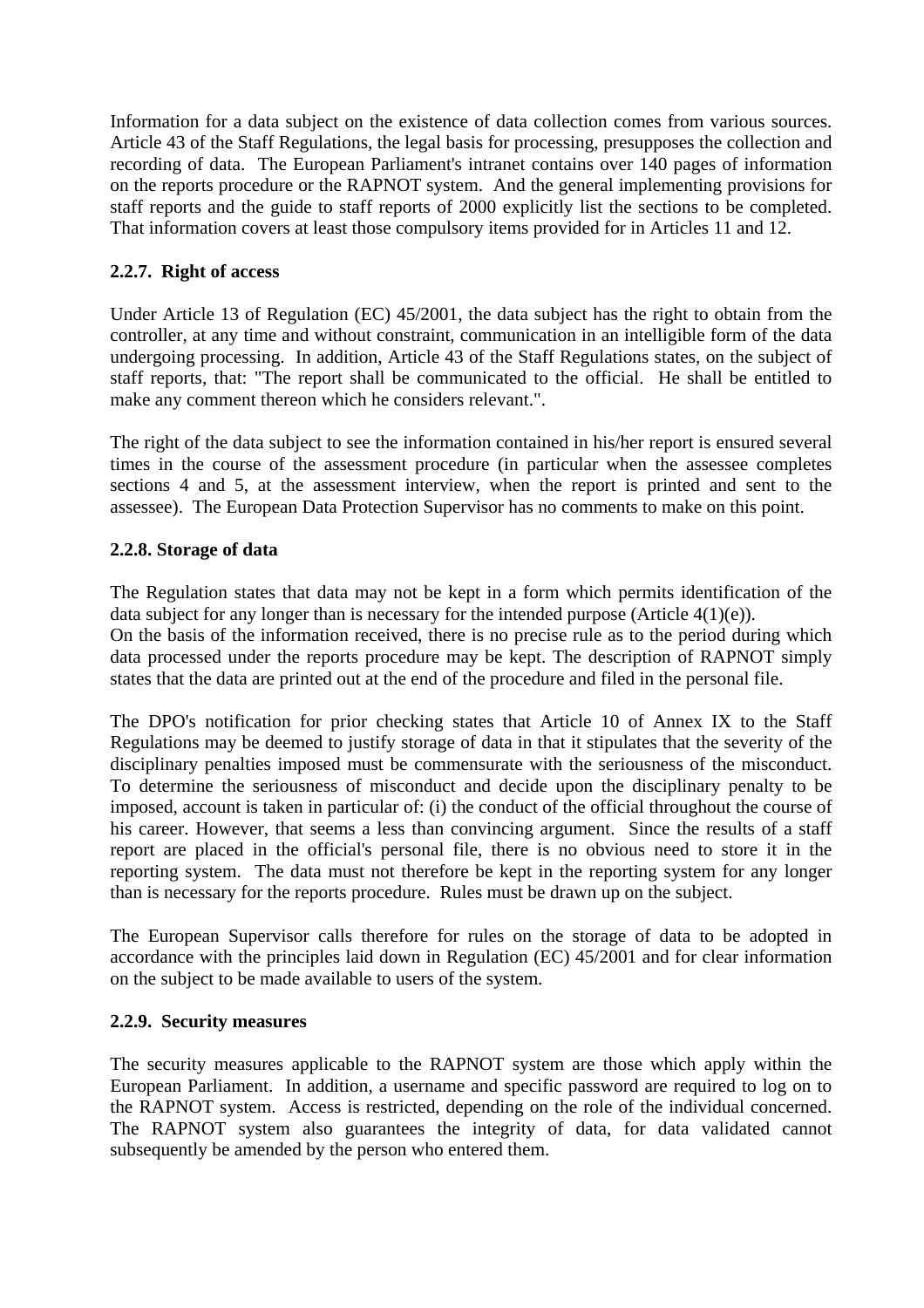Information for a data subject on the existence of data collection comes from various sources. Article 43 of the Staff Regulations, the legal basis for processing, presupposes the collection and recording of data. The European Parliament's intranet contains over 140 pages of information on the reports procedure or the RAPNOT system. And the general implementing provisions for staff reports and the guide to staff reports of 2000 explicitly list the sections to be completed. That information covers at least those compulsory items provided for in Articles 11 and 12.

## **2.2.7. Right of access**

Under Article 13 of Regulation (EC) 45/2001, the data subject has the right to obtain from the controller, at any time and without constraint, communication in an intelligible form of the data undergoing processing. In addition, Article 43 of the Staff Regulations states, on the subject of staff reports, that: "The report shall be communicated to the official. He shall be entitled to make any comment thereon which he considers relevant.".

The right of the data subject to see the information contained in his/her report is ensured several times in the course of the assessment procedure (in particular when the assessee completes sections 4 and 5, at the assessment interview, when the report is printed and sent to the assessee). The European Data Protection Supervisor has no comments to make on this point.

### **2.2.8. Storage of data**

The Regulation states that data may not be kept in a form which permits identification of the data subject for any longer than is necessary for the intended purpose (Article  $4(1)(e)$ ). On the basis of the information received, there is no precise rule as to the period during which data processed under the reports procedure may be kept. The description of RAPNOT simply states that the data are printed out at the end of the procedure and filed in the personal file.

The DPO's notification for prior checking states that Article 10 of Annex IX to the Staff Regulations may be deemed to justify storage of data in that it stipulates that the severity of the disciplinary penalties imposed must be commensurate with the seriousness of the misconduct. To determine the seriousness of misconduct and decide upon the disciplinary penalty to be imposed, account is taken in particular of: (i) the conduct of the official throughout the course of his career. However, that seems a less than convincing argument. Since the results of a staff report are placed in the official's personal file, there is no obvious need to store it in the reporting system. The data must not therefore be kept in the reporting system for any longer than is necessary for the reports procedure. Rules must be drawn up on the subject.

The European Supervisor calls therefore for rules on the storage of data to be adopted in accordance with the principles laid down in Regulation (EC) 45/2001 and for clear information on the subject to be made available to users of the system.

#### **2.2.9. Security measures**

The security measures applicable to the RAPNOT system are those which apply within the European Parliament. In addition, a username and specific password are required to log on to the RAPNOT system. Access is restricted, depending on the role of the individual concerned. The RAPNOT system also guarantees the integrity of data, for data validated cannot subsequently be amended by the person who entered them.